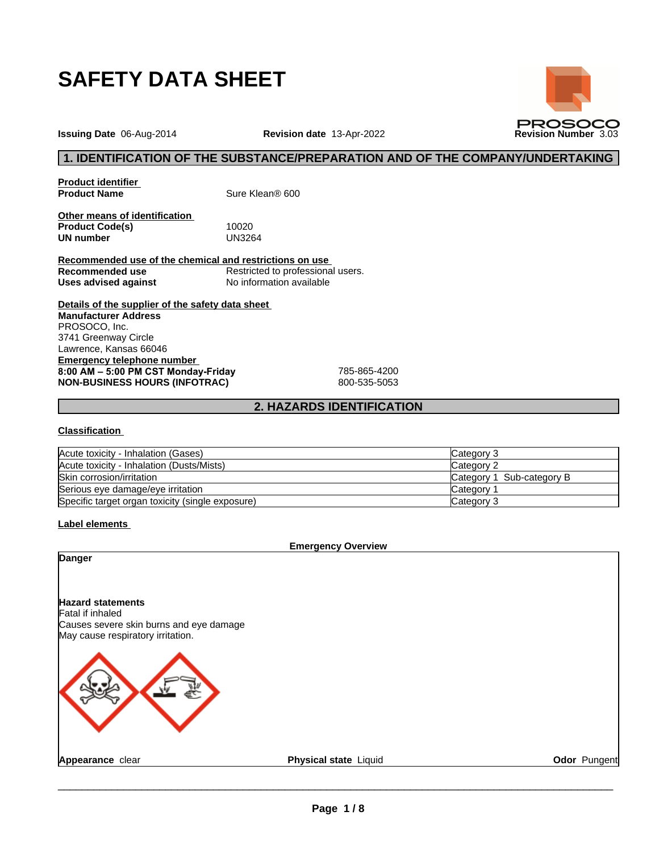

**Issuing Date** 06-Aug-2014 **Revision date** 13-Apr-2022 **Revision Number** 3.03

**Product identifier<br>Product Name** 

**Sure Klean® 600** 

**Other means of identification Product Code(s)** 10020<br> **UN number** UN3264 **UN number** 

**Recommended use of the chemical and restrictions on use Recommended use** Restricted to professional users.<br> **Uses advised against** No information available **Uses advised against** No information available <sup>24</sup><br> **2. HAZARDS IDENTIFICATION**<br>
2. HAZARDS IDENTIFICATION<br>
2. HAZARDS IDENTIFICATION

**Details of the supplier of the safety data sheet Emergency telephone number 8:00 AM – 5:00 PM CST Monday-Friday** 785-865-4200 **NON-BUSINESS HOURS (INFOTRAC)** 800-535-5053 **Manufacturer Address** PROSOCO, Inc. 3741 Greenway Circle Lawrence, Kansas 66046

#### **Classification**

| Acute toxicity - Inhalation (Gases)              | Category 3                |
|--------------------------------------------------|---------------------------|
| Acute toxicity - Inhalation (Dusts/Mists)        | Category 2                |
| Skin corrosion/irritation                        | Category 1 Sub-category B |
| Serious eye damage/eye irritation                | Category 1                |
| Specific target organ toxicity (single exposure) | Category 3                |

**Label elements** 

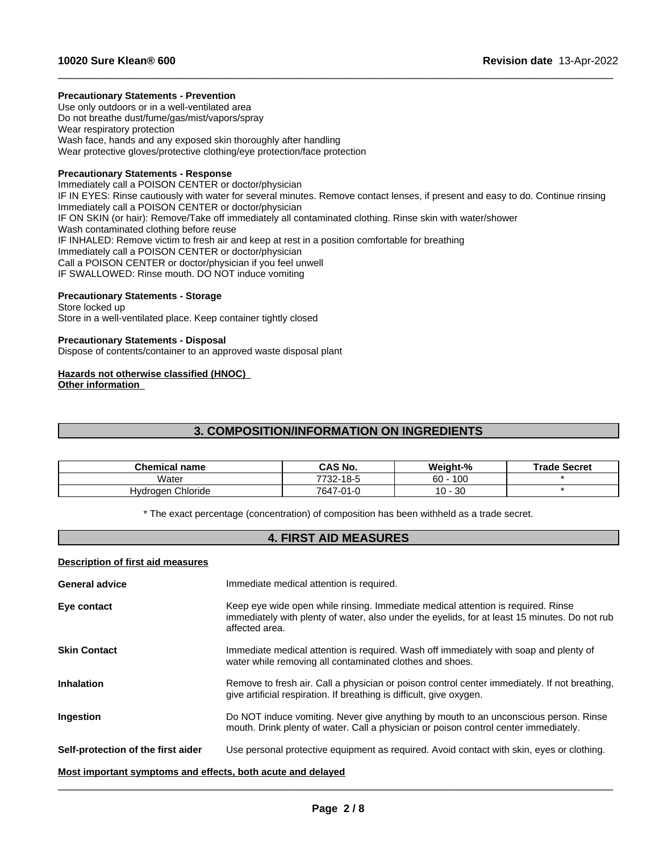### **Precautionary Statements - Prevention**

Use only outdoors or in a well-ventilated area Do not breathe dust/fume/gas/mist/vapors/spray Wear respiratory protection Wash face, hands and any exposed skin thoroughly after handling Wear protective gloves/protective clothing/eye protection/face protection

## **Precautionary Statements - Response**

Immediately call a POISON CENTER or doctor/physician IF IN EYES: Rinse cautiously with water for several minutes. Remove contact lenses, if present and easy to do. Continue rinsing Immediately call a POISON CENTER or doctor/physician IF ON SKIN (or hair): Remove/Take off immediately all contaminated clothing. Rinse skin with water/shower Wash contaminated clothing before reuse IF INHALED: Remove victim to fresh air and keep at rest in a position comfortable for breathing Immediately call a POISON CENTER or doctor/physician Call a POISON CENTER or doctor/physician if you feel unwell IF SWALLOWED: Rinse mouth. DO NOT induce vomiting **3. COMPOSITION/INFORMATION ON INGREDIENTS**<br> **3. COMPOSITION/INFORMATION ON INGREDIENTS**<br> **3. COMPOSITION/INFORMATION ON INGREDIENTS**<br> **3. COMPOSITION/INFORMATION ON INGREDIENTS**<br> **13. COMPOSITION/INFORMATION ON INGREDIENT** 

 $\_$  ,  $\_$  ,  $\_$  ,  $\_$  ,  $\_$  ,  $\_$  ,  $\_$  ,  $\_$  ,  $\_$  ,  $\_$  ,  $\_$  ,  $\_$  ,  $\_$  ,  $\_$  ,  $\_$  ,  $\_$  ,  $\_$  ,  $\_$  ,  $\_$  ,  $\_$  ,  $\_$  ,  $\_$  ,  $\_$  ,  $\_$  ,  $\_$  ,  $\_$  ,  $\_$  ,  $\_$  ,  $\_$  ,  $\_$  ,  $\_$  ,  $\_$  ,  $\_$  ,  $\_$  ,  $\_$  ,  $\_$  ,  $\_$  ,

### **Precautionary Statements - Storage**

Store locked up Store in a well-ventilated place. Keep container tightly closed

### **Precautionary Statements - Disposal**

Dispose of contents/container to an approved waste disposal plant

# **Hazards not otherwise classified (HNOC)**

| Hazards not otherwise classified (HNOC)<br><b>Other information</b> |                                                                                                                            |            |                     |
|---------------------------------------------------------------------|----------------------------------------------------------------------------------------------------------------------------|------------|---------------------|
|                                                                     | <b>3. COMPOSITION/INFORMATION ON INGREDIENTS</b>                                                                           |            |                     |
|                                                                     |                                                                                                                            |            |                     |
| <b>Chemical name</b>                                                | CAS No.                                                                                                                    | Weight-%   | <b>Trade Secret</b> |
| Water                                                               | 7732-18-5                                                                                                                  | $60 - 100$ | $\star$             |
| Hydrogen Chloride                                                   | 7647-01-0                                                                                                                  | $10 - 30$  | $\star$             |
|                                                                     | * The exact percentage (concentration) of composition has been withheld as a trade secret.<br><b>4. FIRST AID MEASURES</b> |            |                     |
| Description of first aid measures                                   |                                                                                                                            |            |                     |
| <b>General advice</b>                                               | Immediate medical attention is required.                                                                                   |            |                     |

## **Description of first aid measures**

| <b>General advice</b>                                       | Immediate medical attention is required.                                                                                                                                                            |
|-------------------------------------------------------------|-----------------------------------------------------------------------------------------------------------------------------------------------------------------------------------------------------|
| Eye contact                                                 | Keep eye wide open while rinsing. Immediate medical attention is required. Rinse<br>immediately with plenty of water, also under the eyelids, for at least 15 minutes. Do not rub<br>affected area. |
| <b>Skin Contact</b>                                         | Immediate medical attention is required. Wash off immediately with soap and plenty of<br>water while removing all contaminated clothes and shoes.                                                   |
| <b>Inhalation</b>                                           | Remove to fresh air. Call a physician or poison control center immediately. If not breathing,<br>give artificial respiration. If breathing is difficult, give oxygen.                               |
| Ingestion                                                   | Do NOT induce vomiting. Never give anything by mouth to an unconscious person. Rinse<br>mouth. Drink plenty of water. Call a physician or poison control center immediately.                        |
| Self-protection of the first aider                          | Use personal protective equipment as required. Avoid contact with skin, eyes or clothing.                                                                                                           |
| Most important symptoms and effects, both acute and delayed |                                                                                                                                                                                                     |

 $\_$  ,  $\_$  ,  $\_$  ,  $\_$  ,  $\_$  ,  $\_$  ,  $\_$  ,  $\_$  ,  $\_$  ,  $\_$  ,  $\_$  ,  $\_$  ,  $\_$  ,  $\_$  ,  $\_$  ,  $\_$  ,  $\_$  ,  $\_$  ,  $\_$  ,  $\_$  ,  $\_$  ,  $\_$  ,  $\_$  ,  $\_$  ,  $\_$  ,  $\_$  ,  $\_$  ,  $\_$  ,  $\_$  ,  $\_$  ,  $\_$  ,  $\_$  ,  $\_$  ,  $\_$  ,  $\_$  ,  $\_$  ,  $\_$  ,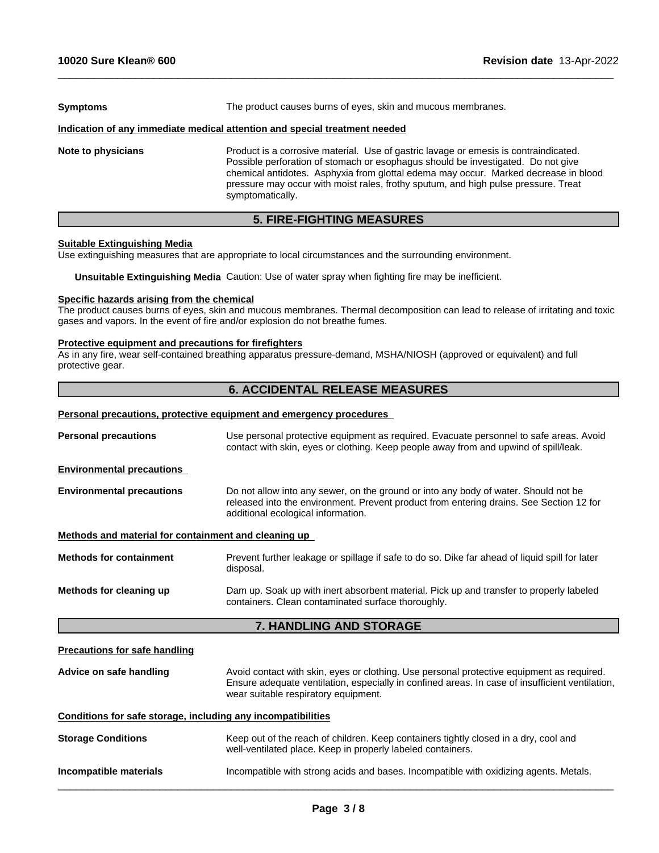| <b>Symptoms</b>    | The product causes burns of eyes, skin and mucous membranes.                                                                                                                                                                                                                                                                                                              |  |  |
|--------------------|---------------------------------------------------------------------------------------------------------------------------------------------------------------------------------------------------------------------------------------------------------------------------------------------------------------------------------------------------------------------------|--|--|
|                    | Indication of any immediate medical attention and special treatment needed                                                                                                                                                                                                                                                                                                |  |  |
| Note to physicians | Product is a corrosive material. Use of gastric lavage or emesis is contraindicated.<br>Possible perforation of stomach or esophagus should be investigated. Do not give<br>chemical antidotes. Asphyxia from glottal edema may occur. Marked decrease in blood<br>pressure may occur with moist rales, frothy sputum, and high pulse pressure. Treat<br>symptomatically. |  |  |

 $\_$  ,  $\_$  ,  $\_$  ,  $\_$  ,  $\_$  ,  $\_$  ,  $\_$  ,  $\_$  ,  $\_$  ,  $\_$  ,  $\_$  ,  $\_$  ,  $\_$  ,  $\_$  ,  $\_$  ,  $\_$  ,  $\_$  ,  $\_$  ,  $\_$  ,  $\_$  ,  $\_$  ,  $\_$  ,  $\_$  ,  $\_$  ,  $\_$  ,  $\_$  ,  $\_$  ,  $\_$  ,  $\_$  ,  $\_$  ,  $\_$  ,  $\_$  ,  $\_$  ,  $\_$  ,  $\_$  ,  $\_$  ,  $\_$  ,

# **5. FIRE-FIGHTING MEASURES**

# **Suitable Extinguishing Media**

Use extinguishing measures that are appropriate to local circumstances and the surrounding environment.

**Unsuitable Extinguishing Media** Caution: Use of water spray when fighting fire may be inefficient.

### **Specific hazards arising from the chemical**

The product causes burns of eyes, skin and mucous membranes. Thermal decomposition can lead to release of irritating and toxic gases and vapors. In the event of fire and/or explosion do not breathe fumes.

### **Protective equipment and precautions for firefighters**

As in any fire, wear self-contained breathing apparatus pressure-demand, MSHA/NIOSH (approved or equivalent) and full protective gear.

# **6. ACCIDENTAL RELEASE MEASURES**

#### **Personal precautions, protective equipment and emergency procedures**

| <b>Personal precautions</b>                                                                                                                                              | Use personal protective equipment as required. Evacuate personnel to safe areas. Avoid<br>contact with skin, eyes or clothing. Keep people away from and upwind of spill/leak.                                                       |  |  |
|--------------------------------------------------------------------------------------------------------------------------------------------------------------------------|--------------------------------------------------------------------------------------------------------------------------------------------------------------------------------------------------------------------------------------|--|--|
| <b>Environmental precautions</b>                                                                                                                                         |                                                                                                                                                                                                                                      |  |  |
| <b>Environmental precautions</b>                                                                                                                                         | Do not allow into any sewer, on the ground or into any body of water. Should not be<br>released into the environment. Prevent product from entering drains. See Section 12 for<br>additional ecological information.                 |  |  |
| Methods and material for containment and cleaning up                                                                                                                     |                                                                                                                                                                                                                                      |  |  |
| <b>Methods for containment</b>                                                                                                                                           | Prevent further leakage or spillage if safe to do so. Dike far ahead of liquid spill for later<br>disposal.                                                                                                                          |  |  |
| Methods for cleaning up<br>Dam up. Soak up with inert absorbent material. Pick up and transfer to properly labeled<br>containers. Clean contaminated surface thoroughly. |                                                                                                                                                                                                                                      |  |  |
|                                                                                                                                                                          | <b>7. HANDLING AND STORAGE</b>                                                                                                                                                                                                       |  |  |
| <b>Precautions for safe handling</b>                                                                                                                                     |                                                                                                                                                                                                                                      |  |  |
| Advice on safe handling                                                                                                                                                  | Avoid contact with skin, eyes or clothing. Use personal protective equipment as required.<br>Ensure adequate ventilation, especially in confined areas. In case of insufficient ventilation,<br>wear suitable respiratory equipment. |  |  |
| Conditions for safe storage, including any incompatibilities                                                                                                             |                                                                                                                                                                                                                                      |  |  |
|                                                                                                                                                                          |                                                                                                                                                                                                                                      |  |  |

 $\overline{\phantom{a}}$  ,  $\overline{\phantom{a}}$  ,  $\overline{\phantom{a}}$  ,  $\overline{\phantom{a}}$  ,  $\overline{\phantom{a}}$  ,  $\overline{\phantom{a}}$  ,  $\overline{\phantom{a}}$  ,  $\overline{\phantom{a}}$  ,  $\overline{\phantom{a}}$  ,  $\overline{\phantom{a}}$  ,  $\overline{\phantom{a}}$  ,  $\overline{\phantom{a}}$  ,  $\overline{\phantom{a}}$  ,  $\overline{\phantom{a}}$  ,  $\overline{\phantom{a}}$  ,  $\overline{\phantom{a}}$ 

**Incompatible materials Incompatible with strong acids and bases. Incompatible with oxidizing agents. Metals.**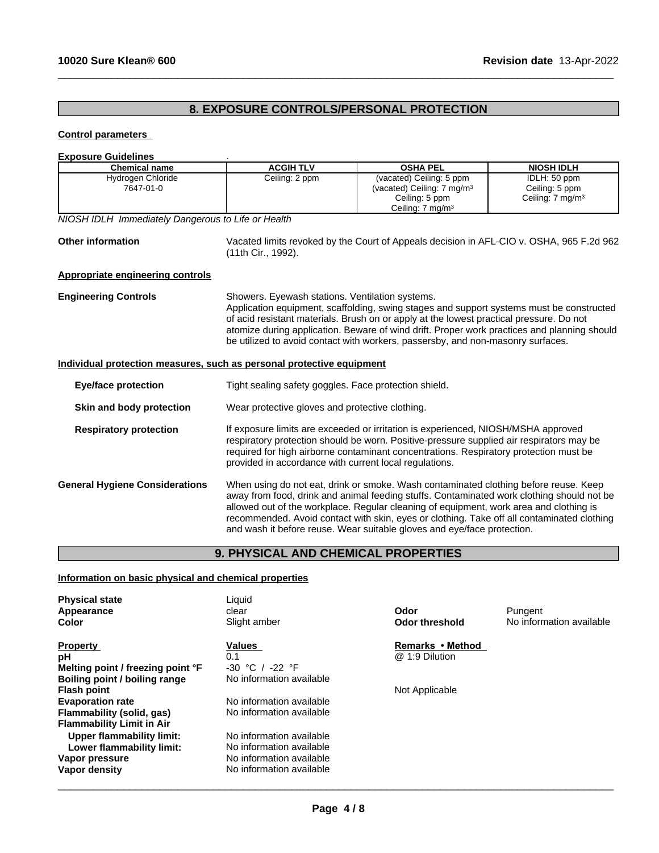# **8. EXPOSURE CONTROLS/PERSONAL PROTECTION**

 $\_$  ,  $\_$  ,  $\_$  ,  $\_$  ,  $\_$  ,  $\_$  ,  $\_$  ,  $\_$  ,  $\_$  ,  $\_$  ,  $\_$  ,  $\_$  ,  $\_$  ,  $\_$  ,  $\_$  ,  $\_$  ,  $\_$  ,  $\_$  ,  $\_$  ,  $\_$  ,  $\_$  ,  $\_$  ,  $\_$  ,  $\_$  ,  $\_$  ,  $\_$  ,  $\_$  ,  $\_$  ,  $\_$  ,  $\_$  ,  $\_$  ,  $\_$  ,  $\_$  ,  $\_$  ,  $\_$  ,  $\_$  ,  $\_$  ,

# **Control parameters**

| <b>Exposure Guidelines</b>                                                                           |                                                                                                                |                                                                                                                                                                                                                                                                                                                                                                                                                                                      |                                                                |  |
|------------------------------------------------------------------------------------------------------|----------------------------------------------------------------------------------------------------------------|------------------------------------------------------------------------------------------------------------------------------------------------------------------------------------------------------------------------------------------------------------------------------------------------------------------------------------------------------------------------------------------------------------------------------------------------------|----------------------------------------------------------------|--|
| <b>Chemical name</b>                                                                                 | <b>ACGIH TLV</b>                                                                                               | <b>OSHA PEL</b>                                                                                                                                                                                                                                                                                                                                                                                                                                      | <b>NIOSH IDLH</b>                                              |  |
| Hydrogen Chloride<br>7647-01-0                                                                       | Ceiling: 2 ppm                                                                                                 | (vacated) Ceiling: 5 ppm<br>(vacated) Ceiling: 7 mg/m <sup>3</sup><br>Ceiling: 5 ppm<br>Ceiling: 7 mg/m <sup>3</sup>                                                                                                                                                                                                                                                                                                                                 | IDLH: 50 ppm<br>Ceiling: 5 ppm<br>Ceiling: 7 mg/m <sup>3</sup> |  |
| NIOSH IDLH Immediately Dangerous to Life or Health                                                   |                                                                                                                |                                                                                                                                                                                                                                                                                                                                                                                                                                                      |                                                                |  |
| <b>Other information</b>                                                                             | Vacated limits revoked by the Court of Appeals decision in AFL-CIO v. OSHA, 965 F.2d 962<br>(11th Cir., 1992). |                                                                                                                                                                                                                                                                                                                                                                                                                                                      |                                                                |  |
| <b>Appropriate engineering controls</b>                                                              |                                                                                                                |                                                                                                                                                                                                                                                                                                                                                                                                                                                      |                                                                |  |
| <b>Engineering Controls</b><br>Individual protection measures, such as personal protective equipment | Showers. Eyewash stations. Ventilation systems.                                                                | Application equipment, scaffolding, swing stages and support systems must be constructed<br>of acid resistant materials. Brush on or apply at the lowest practical pressure. Do not<br>atomize during application. Beware of wind drift. Proper work practices and planning should<br>be utilized to avoid contact with workers, passersby, and non-masonry surfaces.                                                                                |                                                                |  |
|                                                                                                      |                                                                                                                |                                                                                                                                                                                                                                                                                                                                                                                                                                                      |                                                                |  |
| <b>Eye/face protection</b>                                                                           | Tight sealing safety goggles. Face protection shield.                                                          |                                                                                                                                                                                                                                                                                                                                                                                                                                                      |                                                                |  |
| Skin and body protection                                                                             | Wear protective gloves and protective clothing.                                                                |                                                                                                                                                                                                                                                                                                                                                                                                                                                      |                                                                |  |
| <b>Respiratory protection</b>                                                                        | provided in accordance with current local regulations.                                                         | If exposure limits are exceeded or irritation is experienced, NIOSH/MSHA approved<br>respiratory protection should be worn. Positive-pressure supplied air respirators may be<br>required for high airborne contaminant concentrations. Respiratory protection must be                                                                                                                                                                               |                                                                |  |
| <b>General Hygiene Considerations</b>                                                                |                                                                                                                | When using do not eat, drink or smoke. Wash contaminated clothing before reuse. Keep<br>away from food, drink and animal feeding stuffs. Contaminated work clothing should not be<br>allowed out of the workplace. Regular cleaning of equipment, work area and clothing is<br>recommended. Avoid contact with skin, eyes or clothing. Take off all contaminated clothing<br>and wash it before reuse. Wear suitable gloves and eye/face protection. |                                                                |  |
|                                                                                                      | <b>9. PHYSICAL AND CHEMICAL PROPERTIES</b>                                                                     |                                                                                                                                                                                                                                                                                                                                                                                                                                                      |                                                                |  |

# **Information on basic physical and chemical properties**

| Liquid<br><b>Physical state</b><br>Odor<br>Pungent<br>Appearance<br>clear<br>No information available<br>Slight amber<br><b>Odor threshold</b><br>Color |  |
|---------------------------------------------------------------------------------------------------------------------------------------------------------|--|
| Remarks • Method<br>Values<br><b>Property</b>                                                                                                           |  |
| @ 1:9 Dilution<br>0.1<br>рH                                                                                                                             |  |
| Melting point / freezing point °F<br>$-30 °C /$<br>-22 °F                                                                                               |  |
| No information available<br>Boiling point / boiling range                                                                                               |  |
| Not Applicable<br><b>Flash point</b>                                                                                                                    |  |
| No information available<br><b>Evaporation rate</b>                                                                                                     |  |
| No information available<br>Flammability (solid, gas)                                                                                                   |  |
| <b>Flammability Limit in Air</b>                                                                                                                        |  |
| No information available<br>Upper flammability limit:                                                                                                   |  |
| No information available<br>Lower flammability limit:                                                                                                   |  |
| No information available<br>Vapor pressure                                                                                                              |  |
| No information available<br>Vapor density                                                                                                               |  |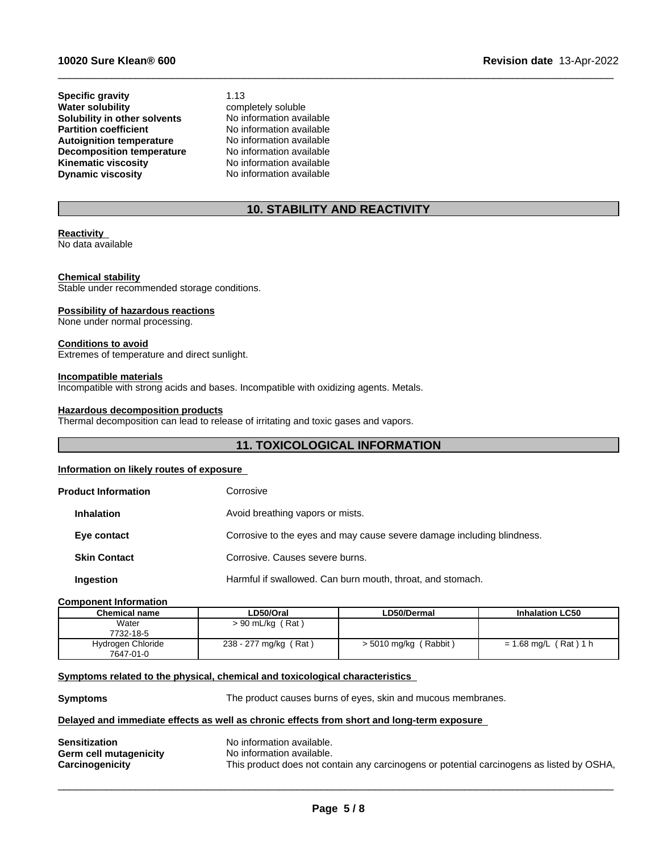**Specific gravity** 1.13<br> **Water solubility** comp **Solubility in other solvents** No information available<br> **Partition coefficient** No information available **Partition** coefficient **Autoignition temperature** No information available **Decomposition temperature** No information available<br> **Kinematic viscosity** No information available **Kinematic viscosity**<br>Dynamic viscosity

**completely soluble**<br>No information available **No information available** 

# **10. STABILITY AND REACTIVITY**

 $\_$  ,  $\_$  ,  $\_$  ,  $\_$  ,  $\_$  ,  $\_$  ,  $\_$  ,  $\_$  ,  $\_$  ,  $\_$  ,  $\_$  ,  $\_$  ,  $\_$  ,  $\_$  ,  $\_$  ,  $\_$  ,  $\_$  ,  $\_$  ,  $\_$  ,  $\_$  ,  $\_$  ,  $\_$  ,  $\_$  ,  $\_$  ,  $\_$  ,  $\_$  ,  $\_$  ,  $\_$  ,  $\_$  ,  $\_$  ,  $\_$  ,  $\_$  ,  $\_$  ,  $\_$  ,  $\_$  ,  $\_$  ,  $\_$  ,

### **Reactivity**

No data available

## **Chemical stability**

Stable under recommended storage conditions.

#### **Possibility of hazardous reactions**

None under normal processing.

#### **Conditions to avoid**

Extremes of temperature and direct sunlight.

#### **Incompatible materials**

Incompatible with strong acids and bases. Incompatible with oxidizing agents. Metals.

# **Hazardous decomposition products**

Thermal decomposition can lead to release of irritating and toxic gases and vapors.

# **11. TOXICOLOGICAL INFORMATION**

## **Information on likely routes of exposure**

|                                                       | <b>Product Information</b> | Corrosive                                                              |
|-------------------------------------------------------|----------------------------|------------------------------------------------------------------------|
| Avoid breathing vapors or mists.<br><b>Inhalation</b> |                            |                                                                        |
|                                                       | Eye contact                | Corrosive to the eyes and may cause severe damage including blindness. |
|                                                       | <b>Skin Contact</b>        | Corrosive, Causes severe burns.                                        |
|                                                       | Ingestion                  | Harmful if swallowed. Can burn mouth, throat, and stomach.             |
|                                                       |                            |                                                                        |

## **Component Information**

| Chemical name     | LD50/Oral             | <b>LD50/Dermal</b>           | <b>Inhalation LC50</b>  |
|-------------------|-----------------------|------------------------------|-------------------------|
| Water             | $> 90$ mL/kg (Rat)    |                              |                         |
| 7732-18-5         |                       |                              |                         |
| Hydrogen Chloride | 238 - 277 mg/kg (Rat) | ( Rabbit )<br>> 5010 mg/kg ( | $= 1.68$ mg/L (Rat) 1 h |
| 7647-01-0         |                       |                              |                         |

## **<u>Symptoms related to the physical, chemical and toxicological characteristics</u>**

**Symptoms** The product causes burns of eyes, skin and mucous membranes.

#### **Delayed and immediate effects as well as chronic effects from short and long-term exposure**

| <b>Sensitization</b>   | No information available.                                                                 |
|------------------------|-------------------------------------------------------------------------------------------|
| Germ cell mutagenicity | No information available.                                                                 |
| Carcinogenicity        | This product does not contain any carcinogens or potential carcinogens as listed by OSHA, |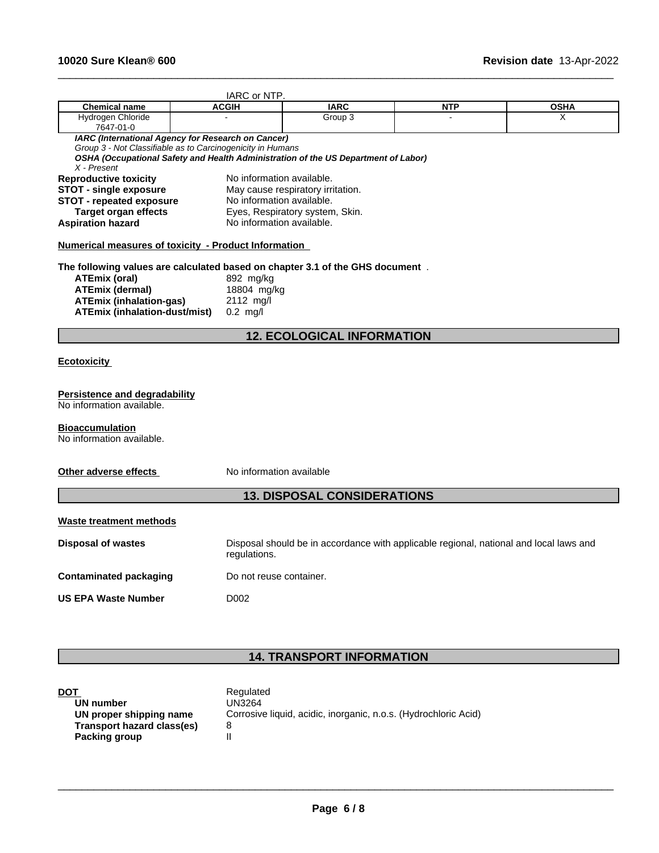|                                                                               | IARC or NTP.              |                                                                                        |            |             |  |  |
|-------------------------------------------------------------------------------|---------------------------|----------------------------------------------------------------------------------------|------------|-------------|--|--|
| <b>Chemical name</b>                                                          | <b>ACGIH</b>              | <b>IARC</b>                                                                            | <b>NTP</b> | <b>OSHA</b> |  |  |
| <b>Hydrogen Chloride</b><br>7647-01-0                                         |                           | Group 3                                                                                |            | X           |  |  |
| IARC (International Agency for Research on Cancer)                            |                           |                                                                                        |            |             |  |  |
| Group 3 - Not Classifiable as to Carcinogenicity in Humans                    |                           | OSHA (Occupational Safety and Health Administration of the US Department of Labor)     |            |             |  |  |
| $X$ - Present                                                                 |                           |                                                                                        |            |             |  |  |
| <b>Reproductive toxicity</b>                                                  | No information available. |                                                                                        |            |             |  |  |
| <b>STOT - single exposure</b>                                                 |                           | May cause respiratory irritation.                                                      |            |             |  |  |
| <b>STOT - repeated exposure</b>                                               | No information available. |                                                                                        |            |             |  |  |
| <b>Target organ effects</b>                                                   |                           | Eyes, Respiratory system, Skin.                                                        |            |             |  |  |
| <b>Aspiration hazard</b>                                                      | No information available. |                                                                                        |            |             |  |  |
| Numerical measures of toxicity - Product Information                          |                           |                                                                                        |            |             |  |  |
| The following values are calculated based on chapter 3.1 of the GHS document. |                           |                                                                                        |            |             |  |  |
| <b>ATEmix (oral)</b>                                                          | 892 mg/kg                 |                                                                                        |            |             |  |  |
| <b>ATEmix (dermal)</b>                                                        | 18804 mg/kg               |                                                                                        |            |             |  |  |
| <b>ATEmix (inhalation-gas)</b>                                                | 2112 mg/l                 |                                                                                        |            |             |  |  |
| <b>ATEmix (inhalation-dust/mist)</b>                                          | $0.2$ mg/l                |                                                                                        |            |             |  |  |
|                                                                               |                           | <b>12. ECOLOGICAL INFORMATION</b>                                                      |            |             |  |  |
|                                                                               |                           |                                                                                        |            |             |  |  |
| <b>Ecotoxicity</b>                                                            |                           |                                                                                        |            |             |  |  |
| Persistence and degradability                                                 |                           |                                                                                        |            |             |  |  |
| No information available.                                                     |                           |                                                                                        |            |             |  |  |
|                                                                               |                           |                                                                                        |            |             |  |  |
| <b>Bioaccumulation</b>                                                        |                           |                                                                                        |            |             |  |  |
| No information available.                                                     |                           |                                                                                        |            |             |  |  |
|                                                                               |                           |                                                                                        |            |             |  |  |
| Other adverse effects                                                         | No information available  |                                                                                        |            |             |  |  |
|                                                                               |                           | <b>13. DISPOSAL CONSIDERATIONS</b>                                                     |            |             |  |  |
| Waste treatment methods                                                       |                           |                                                                                        |            |             |  |  |
|                                                                               |                           |                                                                                        |            |             |  |  |
| Disposal of wastes                                                            | regulations.              | Disposal should be in accordance with applicable regional, national and local laws and |            |             |  |  |
| <b>Contaminated packaging</b>                                                 | Do not reuse container.   |                                                                                        |            |             |  |  |
| <b>US EPA Waste Number</b>                                                    | D <sub>0</sub> 02         |                                                                                        |            |             |  |  |
|                                                                               |                           |                                                                                        |            |             |  |  |
|                                                                               |                           |                                                                                        |            |             |  |  |

 $\_$  ,  $\_$  ,  $\_$  ,  $\_$  ,  $\_$  ,  $\_$  ,  $\_$  ,  $\_$  ,  $\_$  ,  $\_$  ,  $\_$  ,  $\_$  ,  $\_$  ,  $\_$  ,  $\_$  ,  $\_$  ,  $\_$  ,  $\_$  ,  $\_$  ,  $\_$  ,  $\_$  ,  $\_$  ,  $\_$  ,  $\_$  ,  $\_$  ,  $\_$  ,  $\_$  ,  $\_$  ,  $\_$  ,  $\_$  ,  $\_$  ,  $\_$  ,  $\_$  ,  $\_$  ,  $\_$  ,  $\_$  ,  $\_$  ,

# **14. TRANSPORT INFORMATION**

| <b>DOT</b>                 | Regulated                                                       |
|----------------------------|-----------------------------------------------------------------|
| UN number                  | UN3264                                                          |
| UN proper shipping name    | Corrosive liquid, acidic, inorganic, n.o.s. (Hydrochloric Acid) |
| Transport hazard class(es) |                                                                 |
| Packing group              |                                                                 |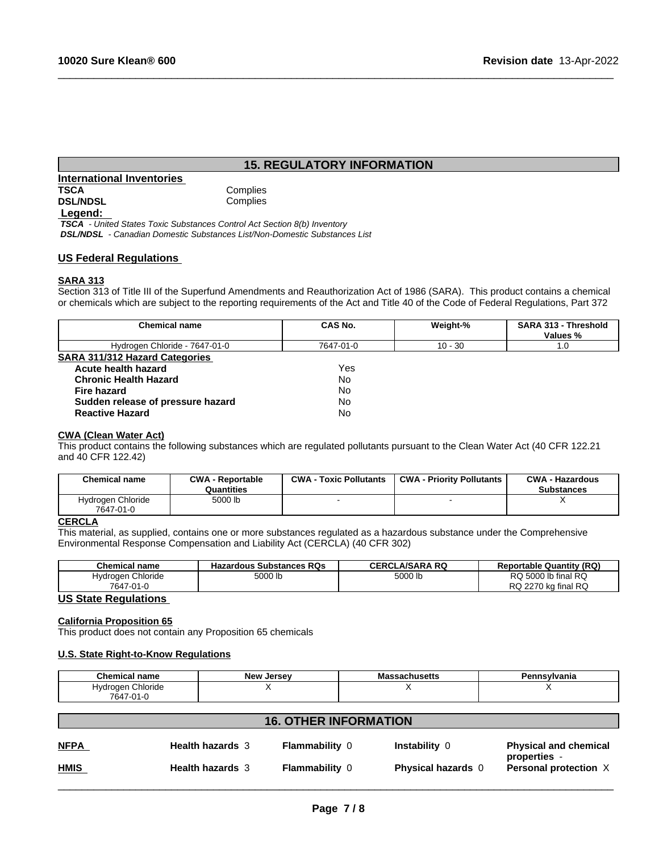# **15. REGULATORY INFORMATION**

 $\_$  ,  $\_$  ,  $\_$  ,  $\_$  ,  $\_$  ,  $\_$  ,  $\_$  ,  $\_$  ,  $\_$  ,  $\_$  ,  $\_$  ,  $\_$  ,  $\_$  ,  $\_$  ,  $\_$  ,  $\_$  ,  $\_$  ,  $\_$  ,  $\_$  ,  $\_$  ,  $\_$  ,  $\_$  ,  $\_$  ,  $\_$  ,  $\_$  ,  $\_$  ,  $\_$  ,  $\_$  ,  $\_$  ,  $\_$  ,  $\_$  ,  $\_$  ,  $\_$  ,  $\_$  ,  $\_$  ,  $\_$  ,  $\_$  ,

# **International Inventories TSCA** Complies<br> **DSL/NDSL** Complies **DSL/NDSL**

# **Legend:**

 *TSCA - United States Toxic Substances Control Act Section 8(b) Inventory DSL/NDSL - Canadian Domestic Substances List/Non-Domestic Substances List*

# **US Federal Regulations**

# **SARA 313**

Section 313 of Title III of the Superfund Amendments and Reauthorization Act of 1986 (SARA). This product contains a chemical or chemicals which are subject to the reporting requirements of the Act and Title 40 of the Code of Federal Regulations, Part 372

| <b>Chemical name</b>                  | CAS No.   | Weight-%  | <b>SARA 313 - Threshold</b><br>Values % |
|---------------------------------------|-----------|-----------|-----------------------------------------|
| Hydrogen Chloride - 7647-01-0         | 7647-01-0 | $10 - 30$ | 1.0                                     |
| <b>SARA 311/312 Hazard Categories</b> |           |           |                                         |
| Acute health hazard                   | Yes.      |           |                                         |
| <b>Chronic Health Hazard</b>          | No        |           |                                         |
| Fire hazard                           | No        |           |                                         |
| Sudden release of pressure hazard     | No        |           |                                         |
| <b>Reactive Hazard</b>                | No        |           |                                         |

# **CWA** (Clean Water Act)

This product contains the following substances which are regulated pollutants pursuant to the Clean Water Act (40 CFR 122.21 and 40 CFR 122.42)

| <b>Chemical name</b>           | <b>CWA - Reportable</b><br>Quantities | <b>CWA - Toxic Pollutants</b> | <b>CWA - Priority Pollutants</b> | <b>CWA - Hazardous</b><br><b>Substances</b> |
|--------------------------------|---------------------------------------|-------------------------------|----------------------------------|---------------------------------------------|
| Hydrogen Chloride<br>7647-01-0 | 5000 lb                               |                               |                                  |                                             |

## **CERCLA**

This material, as supplied, contains one or more substances regulated as a hazardous substance under the Comprehensive Environmental Response Compensation and Liability Act (CERCLA) (40 CFR 302)

| <b>Chemical name</b>   | <b>Hazardous Substances RQs</b> | CERCL<br>_A/SARA RQ | <b>Reportable Quantity (RQ)</b>                    |
|------------------------|---------------------------------|---------------------|----------------------------------------------------|
| Chloride<br>. ivdrogen | 5000 lb                         | 5000 lb             | 5000 lb final RQ<br>RQ                             |
| 7647<br>'7-01-∪        |                                 |                     | <b>RC</b><br>222<br>ka final<br>יש<br>' KU<br>21 U |

# **US State Regulations**

# **California Proposition 65**

This product does not contain any Proposition 65 chemicals

## **U.S. State Right-to-Know Regulations**

| <b>Chemical name</b> | ، امره ا<br>Jersev | 11CAtts<br>ออสบแนอ6แอ<br>ша | ำ≏vlvania<br>ыш |
|----------------------|--------------------|-----------------------------|-----------------|
| Chloride<br>Hvdroaen |                    |                             |                 |
| 7647-01-0            |                    |                             |                 |

| <b>16. OTHER INFORMATION</b> |                         |                       |                           |                                              |
|------------------------------|-------------------------|-----------------------|---------------------------|----------------------------------------------|
| <b>NFPA</b>                  | <b>Health hazards 3</b> | <b>Flammability 0</b> | Instability 0             | <b>Physical and chemical</b><br>properties - |
| <u>HMIS</u>                  | <b>Health hazards 3</b> | <b>Flammability 0</b> | <b>Physical hazards</b> 0 | Personal protection X                        |
|                              |                         |                       |                           |                                              |